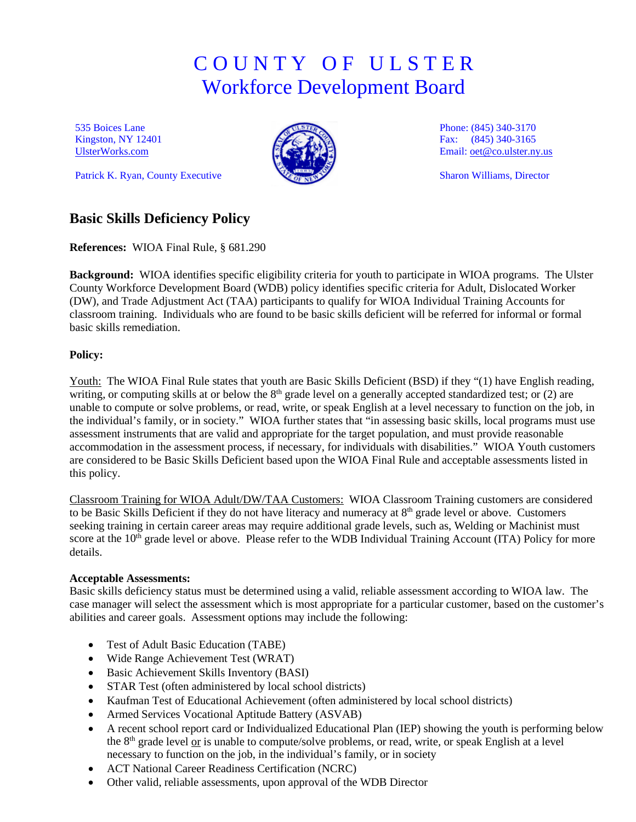# C O U N T Y O F U L S T E R Workforce Development Board

535 Boices Lane Kingston, NY 12401 [UlsterWorks.com](http://www.ulsterworks.com/) 

Patrick K. Ryan, County Executive



Phone: (845) 340-3170 Fax: (845) 340-3165 Email[: oet@co.ulster.ny.us](mailto:oet@co.ulster.ny.us)

Sharon Williams, Director

## **Basic Skills Deficiency Policy**

**References:** WIOA Final Rule, § 681.290

**Background:** WIOA identifies specific eligibility criteria for youth to participate in WIOA programs. The Ulster County Workforce Development Board (WDB) policy identifies specific criteria for Adult, Dislocated Worker (DW), and Trade Adjustment Act (TAA) participants to qualify for WIOA Individual Training Accounts for classroom training. Individuals who are found to be basic skills deficient will be referred for informal or formal basic skills remediation.

### **Policy:**

Youth: The WIOA Final Rule states that youth are Basic Skills Deficient (BSD) if they "(1) have English reading, writing, or computing skills at or below the 8<sup>th</sup> grade level on a generally accepted standardized test; or (2) are unable to compute or solve problems, or read, write, or speak English at a level necessary to function on the job, in the individual's family, or in society." WIOA further states that "in assessing basic skills, local programs must use assessment instruments that are valid and appropriate for the target population, and must provide reasonable accommodation in the assessment process, if necessary, for individuals with disabilities." WIOA Youth customers are considered to be Basic Skills Deficient based upon the WIOA Final Rule and acceptable assessments listed in this policy.

Classroom Training for WIOA Adult/DW/TAA Customers: WIOA Classroom Training customers are considered to be Basic Skills Deficient if they do not have literacy and numeracy at 8<sup>th</sup> grade level or above. Customers seeking training in certain career areas may require additional grade levels, such as, Welding or Machinist must score at the 10<sup>th</sup> grade level or above. Please refer to the WDB Individual Training Account (ITA) Policy for more details.

### **Acceptable Assessments:**

Basic skills deficiency status must be determined using a valid, reliable assessment according to WIOA law. The case manager will select the assessment which is most appropriate for a particular customer, based on the customer's abilities and career goals. Assessment options may include the following:

- Test of Adult Basic Education (TABE)
- Wide Range Achievement Test (WRAT)
- Basic Achievement Skills Inventory (BASI)
- STAR Test (often administered by local school districts)
- Kaufman Test of Educational Achievement (often administered by local school districts)
- Armed Services Vocational Aptitude Battery (ASVAB)
- A recent school report card or Individualized Educational Plan (IEP) showing the youth is performing below the 8<sup>th</sup> grade level or is unable to compute/solve problems, or read, write, or speak English at a level necessary to function on the job, in the individual's family, or in society
- ACT National Career Readiness Certification (NCRC)
- Other valid, reliable assessments, upon approval of the WDB Director